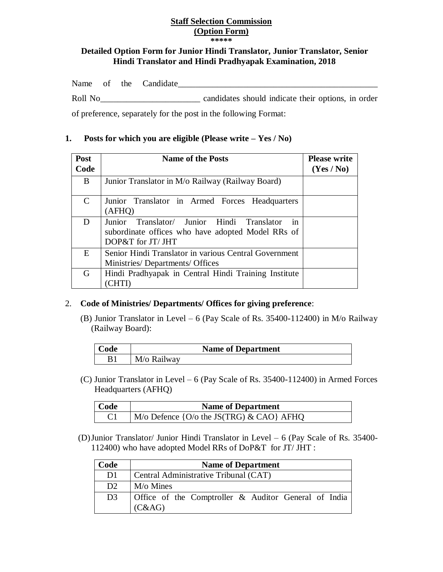## **Staff Selection Commission (Option Form)**

**\*\*\*\*\***

## **Detailed Option Form for Junior Hindi Translator, Junior Translator, Senior Hindi Translator and Hindi Pradhyapak Examination, 2018**

|         |  | Name of the Candidate |                                                    |  |
|---------|--|-----------------------|----------------------------------------------------|--|
| Roll No |  |                       | candidates should indicate their options, in order |  |

of preference, separately for the post in the following Format:

## **1. Posts for which you are eligible (Please write – Yes / No)**

| Post                        | <b>Name of the Posts</b>                                                                                                                 | <b>Please write</b> |
|-----------------------------|------------------------------------------------------------------------------------------------------------------------------------------|---------------------|
| Code                        |                                                                                                                                          | (Yes / No)          |
| B                           | Junior Translator in M/o Railway (Railway Board)                                                                                         |                     |
| $\mathcal{C}_{\mathcal{C}}$ | Junior Translator in Armed Forces Headquarters<br>(AFHQ)                                                                                 |                     |
| D                           | Translator/ Junior Hindi Translator<br>Junior<br><sub>in</sub><br>subordinate offices who have adopted Model RRs of<br>DOP&T for JT/ JHT |                     |
| E                           | Senior Hindi Translator in various Central Government<br>Ministries/Departments/Offices                                                  |                     |
| G                           | Hindi Pradhyapak in Central Hindi Training Institute<br>$\rm CHT$                                                                        |                     |

## 2. **Code of Ministries/ Departments/ Offices for giving preference**: Ī

(B) Junior Translator in Level – 6 (Pay Scale of Rs.  $35400-112400$ ) in M/o Railway (Railway Board):

| Code | <b>Name of Department</b> |
|------|---------------------------|
|      | M/o Railway               |

 (C) Junior Translator in Level – 6 (Pay Scale of Rs. 35400-112400) in Armed Forces Headquarters (AFHQ)

| Code | <b>Name of Department</b>                               |
|------|---------------------------------------------------------|
|      | $M/\sigma$ Defence {O/ $\sigma$ the JS(TRG) & CAO} AFHQ |

(D)Junior Translator/ Junior Hindi Translator in Level – 6 (Pay Scale of Rs. 35400- 112400) who have adopted Model RRs of DoP&T for JT/ JHT :

| Code           | <b>Name of Department</b>                                      |  |  |  |  |  |  |  |  |  |
|----------------|----------------------------------------------------------------|--|--|--|--|--|--|--|--|--|
| D <sub>1</sub> | Central Administrative Tribunal (CAT)                          |  |  |  |  |  |  |  |  |  |
| D2             | $M$ /o Mines                                                   |  |  |  |  |  |  |  |  |  |
| D <sub>3</sub> | Office of the Comptroller & Auditor General of India<br>(C&AG) |  |  |  |  |  |  |  |  |  |